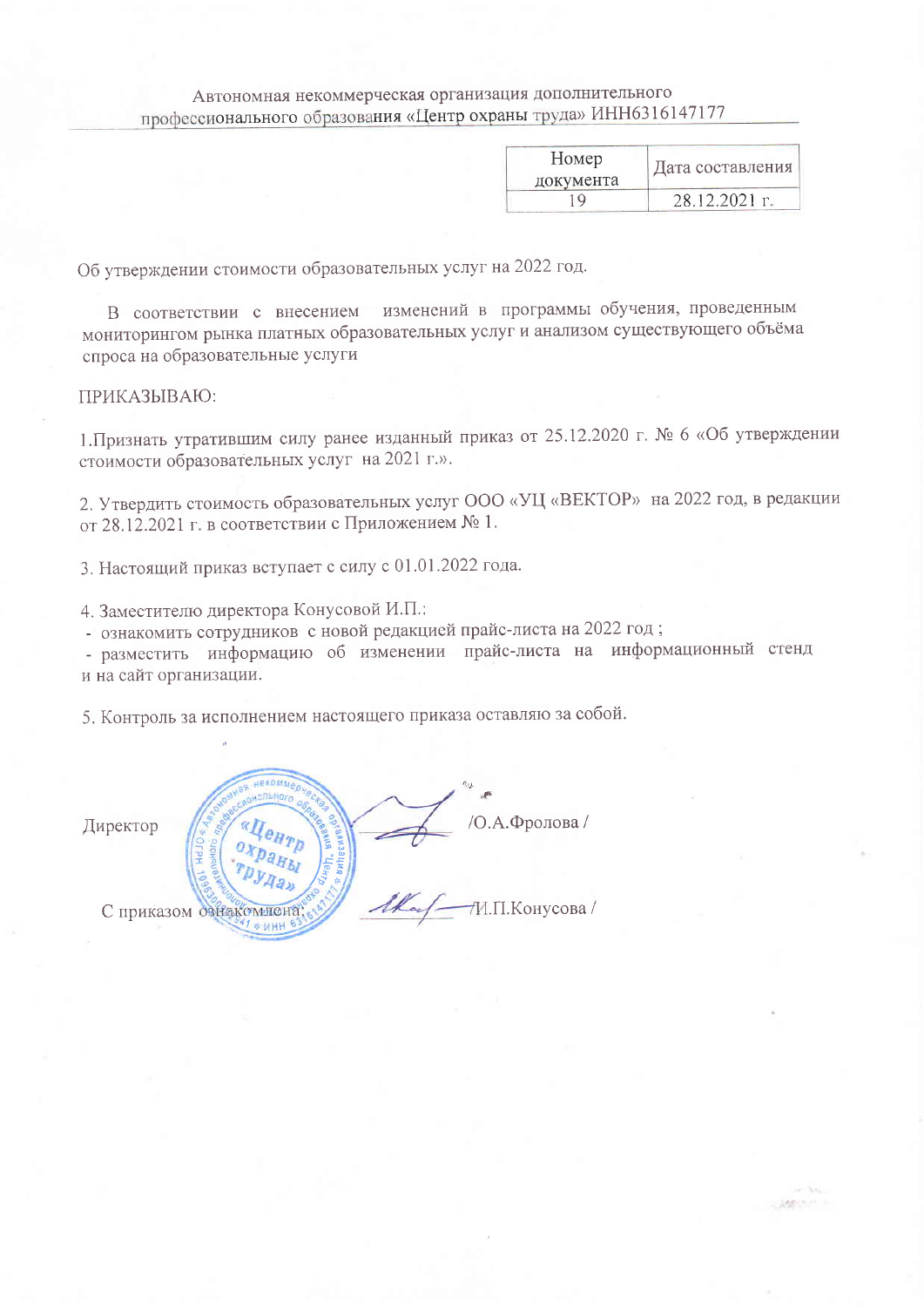## Автономная некоммерческая организация дополнительного профессионального образования «Центр охраны труда» ИНН6316147177

| Номер<br>документа | Дата составления |
|--------------------|------------------|
| l Q                | 28.12.2021 г.    |

Listener

Об утверждении стоимости образовательных услуг на 2022 год.

В соответствии с внесением изменений в программы обучения, проведенным мониторингом рынка платных образовательных услуг и анализом существующего объёма спроса на образовательные услуги

## ПРИКАЗЫВАЮ:

1. Признать утратившим силу ранее изданный приказ от 25.12.2020 г. № 6 «Об утверждении стоимости образовательных услуг на 2021 г.».

2. Утвердить стоимость образовательных услуг ООО «УЦ «ВЕКТОР» на 2022 год, в редакции от 28.12.2021 г. в соответствии с Приложением № 1.

3. Настоящий приказ вступает с силу с 01.01.2022 года.

4. Заместителю директора Конусовой И.П.:

- ознакомить сотрудников с новой редакцией прайс-листа на 2022 год;

- разместить информацию об изменении прайс-листа на информационный стенд и на сайт организации.

5. Контроль за исполнением настоящего приказа оставляю за собой.

/О.А.Фролова / Директор И.П.Конусова / С приказом ознакомн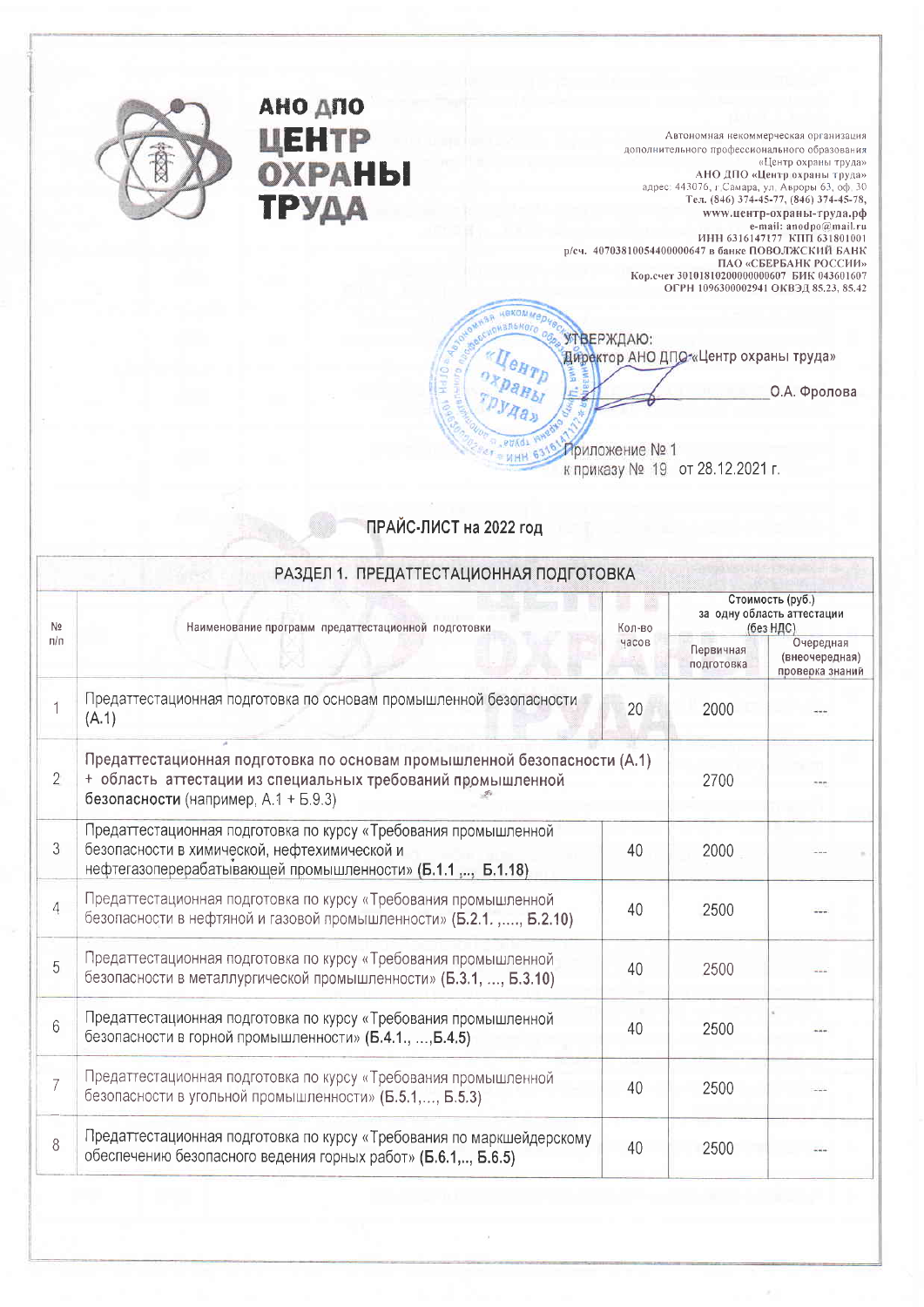

АНО ДПО

ТРУДА

ЦЕНТР<br>ОХРАНЫ

Автономная некоммерческая организация дополнительного профессионального образования «Центр охраны труда» АНО ДПО «Центр охраны труда»<br>адрес: 443076, г.Самара, ул. Авроры 63, оф. 30<br>Тел. (846) 374-45-77, (846) 374-45-78, www.центр-охраны-труда.рф www.ueнтр-охраны-труда,рф<br>= mail: anodpo@mail.ru<br>= HH 6316147177 KIII 631801001<br>p/cч. 40703810054400000647 в банке ПОВОЛЖСКИЙ БАНК<br>= ПАО «СБЕРБАНК РОССИИ»<br>Кор.счет 30101810200000000607 БИК 043601607<br>= ОГРН 1096300002941 О

УТВЕРЖДАЮ: Директор АНО ДПО-«Центр охраны труда»

О.А. Фролова

Приложение № 1 к приказу № 19 от 28.12.2021 г.

## ПРАЙС-ЛИСТ на 2022 год

еком*ме* **SRENOT** 

eHTD

PHACE

**ИНН 63** 

| N <sub>2</sub> | Наименование программ предаттестационной подготовки                                                                                                                             | Кол-во | Стоимость (руб.)<br>за одну область аттестации<br>(без НДС) |                                                |  |
|----------------|---------------------------------------------------------------------------------------------------------------------------------------------------------------------------------|--------|-------------------------------------------------------------|------------------------------------------------|--|
| n/n            |                                                                                                                                                                                 | часов  | Первичная<br>подготовка                                     | Очередная<br>(внеочередная)<br>проверка знаний |  |
|                | Предаттестационная подготовка по основам промышленной безопасности<br>(A.1)                                                                                                     | 20     | 2000                                                        |                                                |  |
| $\overline{2}$ | Предаттестационная подготовка по основам промышленной безопасности (А.1)<br>+ область аттестации из специальных требований промышленной<br>безопасности (например, А.1 + Б.9.3) | 2700   |                                                             |                                                |  |
| $\mathfrak{Z}$ | Предаттестационная подготовка по курсу «Требования промышленной<br>безопасности в химической, нефтехимической и<br>нефтегазоперерабатывающей промышленности» (Б.1.1 ,, Б.1.18)  | 40     | 2000                                                        |                                                |  |
| $\overline{4}$ | Предаттестационная подготовка по курсу «Требования промышленной<br>безопасности в нефтяной и газовой промышленности» (Б.2.1.,, Б.2.10)                                          | 40     | 2500                                                        |                                                |  |
| 5              | Предаттестационная подготовка по курсу «Требования промышленной<br>безопасности в металлургической промышленности» (Б.3.1, , Б.3.10)                                            | 40     | 2500                                                        |                                                |  |
| 6              | Предаттестационная подготовка по курсу «Требования промышленной<br>безопасности в горной промышленности» (Б.4.1., , Б.4.5)                                                      | 40     | 2500                                                        |                                                |  |
| $\overline{7}$ | Предаттестационная подготовка по курсу «Требования промышленной<br>безопасности в угольной промышленности» (Б.5.1,, Б.5.3)                                                      | 40     | 2500                                                        |                                                |  |
| 8              | Предаттестационная подготовка по курсу «Требования по маркшейдерскому<br>обеспечению безопасного ведения горных работ» (Б.6.1,, Б.6.5)                                          | 40     | 2500                                                        |                                                |  |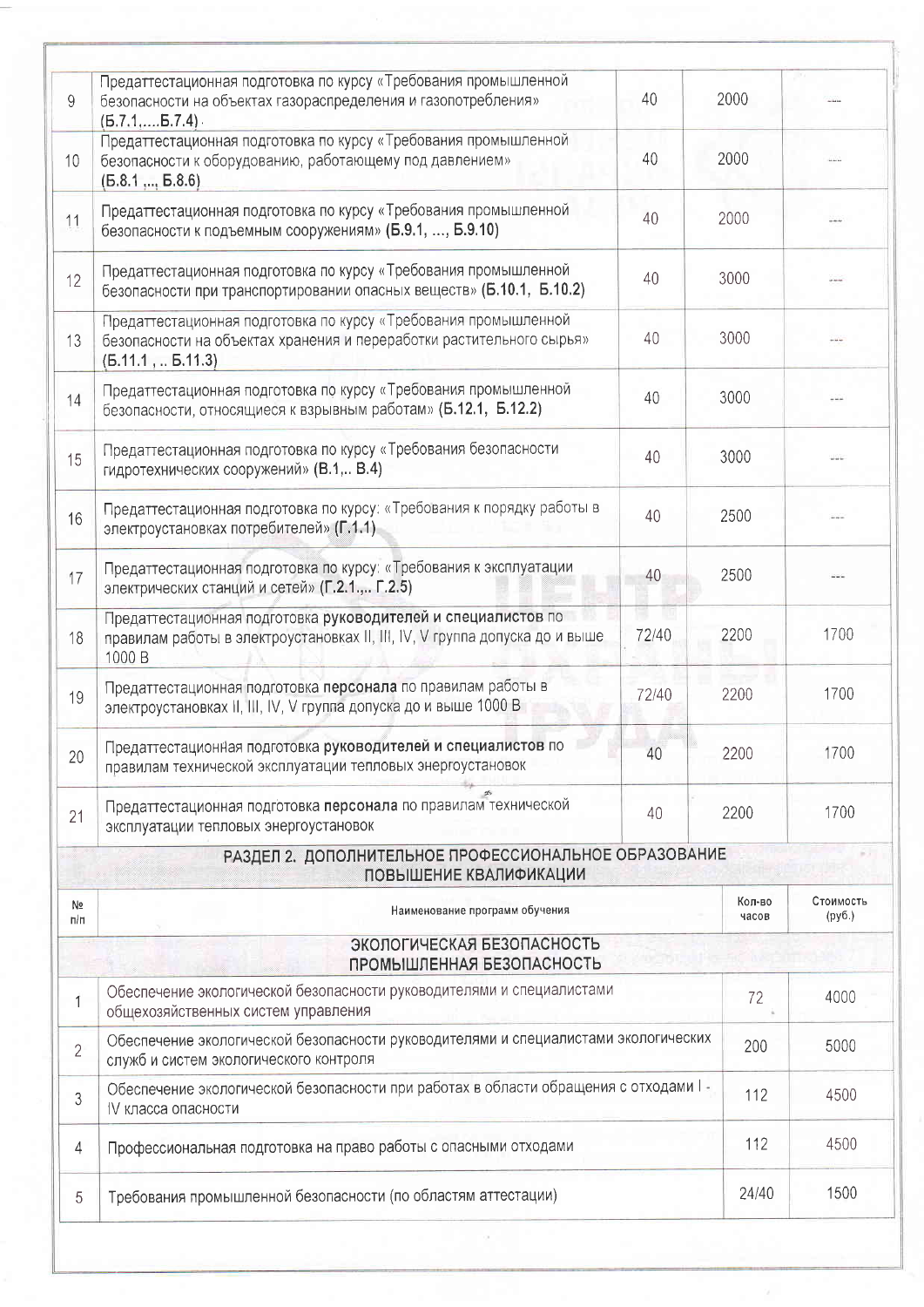| 9              | Предаттестационная подготовка по курсу «Требования промышленной<br>безопасности на объектах газораспределения и газопотребления»<br>$(B.7.1,,B.7.4)$ .      | 40    | 2000 |                 |                     |
|----------------|-------------------------------------------------------------------------------------------------------------------------------------------------------------|-------|------|-----------------|---------------------|
| 10             | Предаттестационная подготовка по курсу «Требования промышленной<br>безопасности к оборудованию, работающему под давлением»<br>(B.8.1, , B.8.6)              | 40    | 2000 |                 |                     |
| 11             | Предаттестационная подготовка по курсу «Требования промышленной<br>безопасности к подъемным сооружениям» (Б.9.1, , Б.9.10)                                  | 40    | 2000 |                 |                     |
| 12             | Предаттестационная подготовка по курсу «Требования промышленной<br>безопасности при транспортировании опасных веществ» (Б.10.1, Б.10.2)                     | 40    | 3000 |                 | $rac{1}{2}$         |
| 13             | Предаттестационная подготовка по курсу «Требования промышленной<br>безопасности на объектах хранения и переработки растительного сырья»<br>(B.11.1, B.11.3) | 40    | 3000 |                 |                     |
| 14             | Предаттестационная подготовка по курсу «Требования промышленной<br>безопасности, относящиеся к взрывным работам» (Б.12.1, Б.12.2)                           | 40    | 3000 |                 |                     |
| 15             | Предаттестационная подготовка по курсу «Требования безопасности<br>гидротехнических сооружений» (В.1, В.4)                                                  | 40    | 3000 |                 |                     |
| 16             | Предаттестационная подготовка по курсу: «Требования к порядку работы в<br>электроустановках потребителей» (Г.1.1)                                           | 40    | 2500 |                 |                     |
| 17             | Предаттестационная подготовка по курсу: «Требования к эксплуатации<br>электрических станций и сетей» (Г.2.1., Г.2.5)                                        | 40    | 2500 |                 |                     |
| 18             | Предаттестационная подготовка руководителей и специалистов по<br>правилам работы в электроустановках II, III, IV, V группа допуска до и выше<br>1000 B      | 72/40 | 2200 |                 | 1700                |
| 19             | Предаттестационная подготовка персонала по правилам работы в<br>электроустановках II, III, IV, V группа допуска до и выше 1000 В                            | 72/40 | 2200 |                 | 1700                |
| 20             | Предаттестационная подготовка руководителей и специалистов по<br>правилам технической эксплуатации тепловых энергоустановок                                 | 40    | 2200 |                 | 1700                |
| 21             | Предаттестационная подготовка персонала по правилам технической<br>эксплуатации тепловых энергоустановок                                                    | 40    | 2200 |                 | 1700                |
|                | РАЗДЕЛ 2. ДОПОЛНИТЕЛЬНОЕ ПРОФЕССИОНАЛЬНОЕ ОБРАЗОВАНИЕ<br>ПОВЫШЕНИЕ КВАЛИФИКАЦИИ                                                                             |       |      |                 |                     |
| Nº<br>п/п      | Наименование программ обучения                                                                                                                              |       |      | Кол-во<br>часов | Стоимость<br>(py6.) |
|                | ЭКОЛОГИЧЕСКАЯ БЕЗОПАСНОСТЬ<br>ПРОМЫШЛЕННАЯ БЕЗОПАСНОСТЬ                                                                                                     |       |      |                 |                     |
| $\overline{1}$ | Обеспечение экологической безопасности руководителями и специалистами<br>общехозяйственных систем управления                                                | 72    |      |                 | 4000                |
| $\overline{2}$ | Обеспечение экологической безопасности руководителями и специалистами экологических<br>служб и систем экологического контроля                               |       |      |                 | 5000                |
| 3              | Обеспечение экологической безопасности при работах в области обращения с отходами I -<br>IV класса опасности                                                |       |      |                 | 4500                |
| 4              | Профессиональная подготовка на право работы с опасными отходами                                                                                             |       |      |                 | 4500                |
| 5              | Требования промышленной безопасности (по областям аттестации)                                                                                               |       |      | 24/40           | 1500                |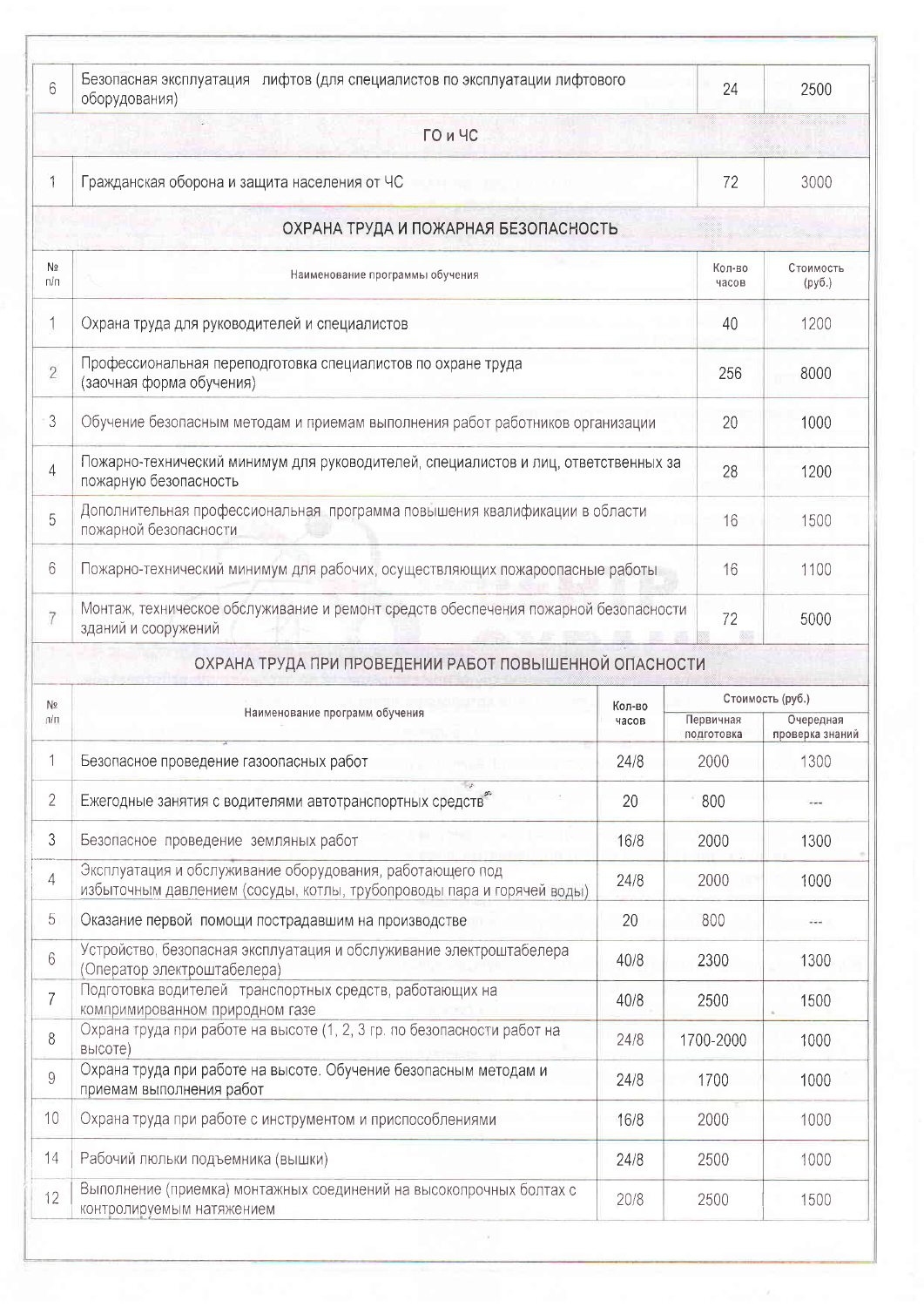| 6                          | Безопасная эксплуатация лифтов (для специалистов по эксплуатации лифтового<br>оборудования)                                         |        |                         | 24              | 2500                         |
|----------------------------|-------------------------------------------------------------------------------------------------------------------------------------|--------|-------------------------|-----------------|------------------------------|
|                            | ГО и ЧС                                                                                                                             |        |                         |                 |                              |
|                            | Гражданская оборона и защита населения от ЧС                                                                                        |        |                         |                 | 3000                         |
|                            | ОХРАНА ТРУДА И ПОЖАРНАЯ БЕЗОПАСНОСТЬ                                                                                                |        |                         |                 |                              |
| Nº<br>π/π                  | Наименование программы обучения                                                                                                     |        |                         | Кол-во<br>часов | Стоимость<br>(py6.)          |
| 1                          | Охрана труда для руководителей и специалистов                                                                                       |        |                         | 40              | 1200                         |
| $\overline{2}$             | Профессиональная переподготовка специалистов по охране труда<br>(заочная форма обучения)                                            |        |                         |                 | 8000                         |
| 3                          | Обучение безопасным методам и приемам выполнения работ работников организации                                                       |        | 20                      | 1000            |                              |
| 4                          | Пожарно-технический минимум для руководителей, специалистов и лиц, ответственных за<br>пожарную безопасность                        |        |                         |                 | 1200                         |
| 5                          | Дополнительная профессиональная программа повышения квалификации в области<br>пожарной безопасности                                 |        | 16                      | 1500            |                              |
| 6                          | Пожарно-технический минимум для рабочих, осуществляющих пожароопасные работы                                                        |        |                         |                 | 1100                         |
| 7                          | Монтаж, техническое обслуживание и ремонт средств обеспечения пожарной безопасности<br>зданий и сооружений                          |        |                         | 72              | 5000                         |
|                            | ОХРАНА ТРУДА ПРИ ПРОВЕДЕНИИ РАБОТ ПОВЫШЕННОЙ ОПАСНОСТИ                                                                              |        |                         |                 |                              |
|                            |                                                                                                                                     |        |                         |                 |                              |
| Nº                         |                                                                                                                                     | Кол-во |                         |                 | Стоимость (руб.)             |
| $\mathsf{m}/\mathsf{n}$    | Наименование программ обучения                                                                                                      | часов  | Первичная<br>подготовка |                 | Очередная<br>проверка знаний |
|                            | Безопасное проведение газоопасных работ                                                                                             | 24/8   | 2000                    |                 | 1300                         |
|                            | Ежегодные занятия с водителями автотранспортных средств                                                                             | 20     | 800                     |                 |                              |
| 1<br>$\overline{2}$<br>3   | Безопасное проведение земляных работ                                                                                                | 16/8   | 2000                    |                 | 1300                         |
|                            | Эксплуатация и обслуживание оборудования, работающего под<br>избыточным давлением (сосуды, котлы, трубопроводы пара и горячей воды) | 24/8   | 2000                    |                 | 1000                         |
|                            | Оказание первой помощи пострадавшим на производстве                                                                                 | 20     | 800                     |                 | 2.44                         |
| 4<br>5<br>6                | Устройство, безопасная эксплуатация и обслуживание электроштабелера<br>(Оператор электроштабелера)                                  | 40/8   | 2300                    |                 | 1300                         |
|                            | Подготовка водителей транспортных средств, работающих на<br>компримированном природном газе                                         | 40/8   | 2500                    |                 | 1500                         |
| $\overline{7}$<br>8        | Охрана труда при работе на высоте (1, 2, 3 гр. по безопасности работ на<br>высоте)                                                  | 24/8   | 1700-2000               |                 | 1000                         |
|                            | Охрана труда при работе на высоте. Обучение безопасным методам и<br>приемам выполнения работ                                        | 24/8   | 1700                    |                 | 1000                         |
|                            | Охрана труда при работе с инструментом и приспособлениями                                                                           | 16/8   | 2000                    |                 | 1000                         |
| 9<br>10 <sup>°</sup><br>14 | Рабочий люльки подъемника (вышки)                                                                                                   | 24/8   | 2500                    |                 | 1000                         |

 $\alpha$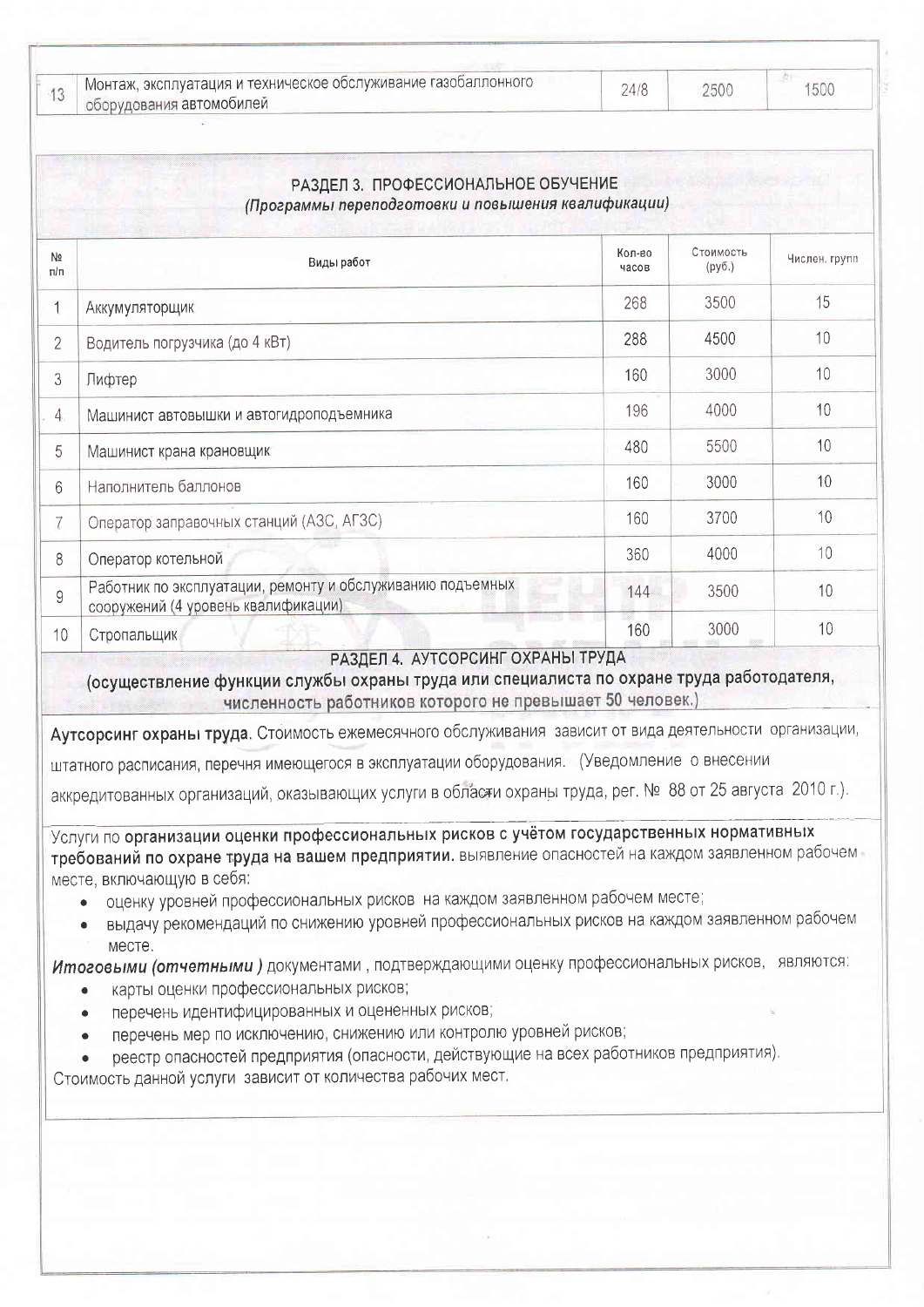| — 1 Монтаж, эксплуатация и техническое обслуживание газобаллонного<br>оборудования автомобилей | 24/8 | 2500 |  |
|------------------------------------------------------------------------------------------------|------|------|--|
|                                                                                                |      |      |  |

1500

|                       | РАЗДЕЛ 3. ПРОФЕССИОНАЛЬНОЕ ОБУЧЕНИЕ<br>(Программы переподготовки и повышения квалификации)        |                 |                     |               |  |  |
|-----------------------|---------------------------------------------------------------------------------------------------|-----------------|---------------------|---------------|--|--|
| N <sub>2</sub><br>n/n | Виды работ                                                                                        | Кол-во<br>часов | Стоимость<br>(py6.) | Числен. групп |  |  |
|                       | Аккумуляторщик                                                                                    | 268             | 3500                | 15            |  |  |
| $\overline{2}$        | Водитель погрузчика (до 4 кВт)                                                                    | 288             | 4500                | 10            |  |  |
| 3                     | Лифтер                                                                                            | 160             | 3000                | 10            |  |  |
| 4                     | Машинист автовышки и автогидроподъемника                                                          | 196             | 4000                | 10            |  |  |
| 5                     | Машинист крана крановщик                                                                          | 480             | 5500                | 10            |  |  |
| 6                     | Наполнитель баллонов                                                                              | 160             | 3000                | 10            |  |  |
| 7                     | Оператор заправочных станций (АЗС, АГЗС)                                                          | 160             | 3700                | 10            |  |  |
| 8                     | Оператор котельной                                                                                | 360             | 4000                | 10            |  |  |
| 9                     | Работник по эксплуатации, ремонту и обслуживанию подъемных<br>сооружений (4 уровень квалификации) | 144             | 3500                | 10            |  |  |
| 10                    | Стропальщик                                                                                       | 160             | 3000                | 10            |  |  |

## РАЗДЕЛ 4. АУТСОРСИНГ ОХРАНЫ ТРУДА

(осуществление функции службы охраны труда или специалиста по охране труда работодателя, численность работников которого не превышает 50 человек.)

Аутсорсинг охраны труда. Стоимость ежемесячного обслуживания зависит от вида деятельности организации,

штатного расписания, перечня имеющегося в эксплуатации оборудования. (Уведомление о внесении

аккредитованных организаций, оказывающих услуги в области охраны труда, рег. № 88 от 25 августа 2010 г.).

Услуги по организации оценки профессиональных рисков с учётом государственных нормативных требований по охране труда на вашем предприятии. выявление опасностей на каждом заявленном рабочем месте, включающую в себя:

- оценку уровней профессиональных рисков на каждом заявленном рабочем месте;  $\bullet$
- выдачу рекомендаций по снижению уровней профессиональных рисков на каждом заявленном рабочем  $\bullet$ месте.

Итоговыми (отчетными) документами, подтверждающими оценку профессиональных рисков, являются:

- карты оценки профессиональных рисков;
- перечень идентифицированных и оцененных рисков;
- перечень мер по исключению, снижению или контролю уровней рисков;
- реестр опасностей предприятия (опасности, действующие на всех работников предприятия).

Стоимость данной услуги зависит от количества рабочих мест.